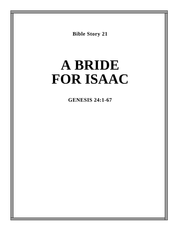**Bible Story 21**

# **A BRIDE FOR ISAAC**

**GENESIS 24:1-67**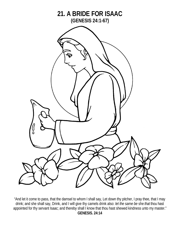

"And let it come to pass, that the damsel to whom I shall say, Let down thy pitcher, I pray thee, that I may drink; and she shall say, Drink, and I will give thy camels drink also: *let the same be* she *that* thou hast appointed for thy servant Isaac; and thereby shall I know that thou hast shewed kindness unto my master." **GENESIS. 24:14**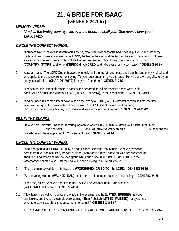### *MEMORY VERSE:*

*"And as the bridegroom rejoices over the bride, so shall your God rejoice over you."*  **ISAIAH 62:5**

### *CIRCLE THE CORRECT WORDS:*

- 1. "Abraham said to the oldest servant of his house, who ruled over all that he had, 'Please put you hand under my thigh, and I will make you swear by the LORD, the God of heaven and the God of the earth, that you will not take a wife for my son from the daughters of the Canaanites, among whom I dwell; but you shall go to my (**COUNTRY**, **STORE**) and to my (**KINGDOM**, **KINDRED**) and take a wife for my son Isaac.' " **GENESIS 24:2-4**
- 2. Abraham said, *"*The LORD God of heaven, who took me from my father's house and from the land of my kindred, and who spoke to me and swore to me, saying, 'To your descendants I give this land,' He will send His angel before you, and you shall take a (**CHARIOT**, **WIFE**) for my son from there." **GENESIS. 24:7**
- 3. "The servant took ten of his master's camels and departed, for all his master's goods were in his hand. And he arose and went to (**EGYPT**, **MESOPOTAMIA)**, to the city of Nahor." **GENESIS 24:10**
- 4. "And he made his camels kneel down outside the city by a (**LAKE**, **WELL**) of water at evening time, the time when women go out to draw water. Then he said, 'O LORD God of my master Abraham, please give me success this day, and show kindness to my master Abraham.' " **GENESIS 24:11-12**

### *FILL IN THE BLANKS:*

5. He also said, "Now let it be that the young woman to whom I say, 'Please let down your pitcher that I may  $\Box$  and she says,  $\Box$  \_\_\_\_\_\_\_\_\_\_\_, and I will also give your camels a  $\Box$   $\Box$  - let her be the one whom You have appointed for Your servant Isaac." **GENESIS. 24:14**

### *CIRCLE THE CORRECT WORDS:*

- 6. "And it happened, (**BEFORE**, **AFTER**) he had finished speaking, that behold, Rebekah, who was born to Bethuel, son of Milcah, the wife of Nahor, Abraham's brother, came out with her pitcher on her shoulder...And when she had finished giving him a drink, she said, 'I (**WILL**, **WILL NOT**) draw water for your camels also, until they have finished drinking.' " **GENESIS 24:15, 19**
- 7. "Then the man bowed down his head and (**WORSHIPED**, **CRIED TO)** the LORD." **GENESIS 24:26**
- 8. "So the young woman (**WALKED**, **RAN**) and told those of her mother's house these things." **GENESIS. 24:28**
- 9. "Then they called Rebekah and said to her, 'Will you go with this man?' And she said, 'I (**WILL**, **WILL NOT**) go.' " **GENESIS 24:58**
- 10. "Now Isaac went out to meditate in the field in the evening; and he (**LIFTED**, **RUBBED**) his eyes and looked, and there, the camels were coming. Then Rebekah (**LIFTED**, **RUBBED**) her eyes, and when she saw Isaac she dismounted from her camel." **GENESIS 24:63-64**

#### **THEN ISAAC "TOOK REBEKAH AND SHE BECAME HIS WIFE, AND HE LOVED HER." GENESIS 24:67**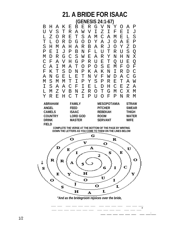B H A K E B E R G V N Y O A P U V S T R A W V I Z I F E I J L Z O R E T S A M C A M E L S T L O R D G O D Y A J O A E P S H M A H A R B A R J O Y Z D P E I J P B N F L U T R U S Q M D R G C S W E A R Y N H N X C F A V H G P R U E T Q U E Q C A I M A T O P O S E M F O F F K T S D N P K A K N I R D C A N G E L E T N V F W D A C G M S M M T I P Y S P R E T A W I S A A C F I E L D H C E Z A L M Z V B N Z R O T G M C X M Y R E H C T I P U O F P N R M **ABRAHAM FAMILY MESOPOTAMIA STRAW ANGEL FEED PITCHER SWEAR CAMELS ISAAC REBEKAH THIGH COUNTRY LORD GOD ROOM WATER DRINK MASTER SERVANT WIFE FIELD**

**COMPLETE THE VERSE AT THE BOTTOM OF THE PAGE BY WRITING DOWN THE LETTERS AS YOU COME TO THEM ON THE LINES BELOW**



*"And as the bridegroom rejoices over the bride,*

*\_\_\_ \_\_\_ \_\_\_ \_\_\_ \_\_\_ \_\_\_ \_\_\_ \_\_\_ \_\_\_ \_\_\_ \_\_\_ \_\_\_ \_\_\_ \_\_\_ \_\_\_ \_\_\_ \_\_\_ \_\_\_ \_\_\_ \_\_\_ \_\_\_ \_\_\_ \_\_\_ \_\_\_ \_\_\_ \_\_\_ \_\_\_ \_\_\_"*

 $\bot$  , and the set of the set of the set of the set of the set of the set of the set of the set of the set of the set of the set of the set of the set of the set of the set of the set of the set of the set of the set of t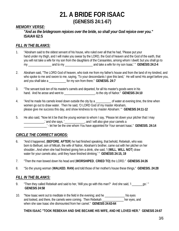### *MEMORY VERSE:*

*"And as the bridegroom rejoices over the bride, so shall your God rejoice over you."*  **ISAIAH 62:5**

### *FILL IN THE BLANKS:*

- 1. "Abraham said to the oldest servant of his house, who ruled over all that he had, 'Please put your hand under my thigh, and I will make you swear by the LORD, the God of heaven and the God of the earth, that you will not take a wife for my son from the daughters of the Canaanites, among whom I dwell; but you shall go to my and to my and to my and take a wife for my son Isaac.' " **GENESIS 24:2-4**
- 2. Abraham said, "The LORD God of heaven, who took me from my father's house and from the land of my kindred, and who spoke to me and swore to me, saying, 'To your descendants I give this land,' He will send His angel before you, and you shall take a \_\_\_\_\_\_\_\_\_\_\_ for my son from there." **GENESIS. 24:7**
- 3. "The servant took ten of his master's camels and departed, for all his master's goods were in his hand. And he arose and went to **witch the arough the set of the city of Nahor.**" **GENESIS 24:10**
- 4. "And he made his camels kneel down outside the city by a correspondent at evening time, the time when women go out to draw water. Then he said, 'O LORD God of my master Abraham, please give me success this day, and show kindness to my master Abraham.' " **GENESIS 24:11-12**
- 5. He also said, "Now let it be that the young woman to whom I say, 'Please let down your pitcher that I may \_\_\_\_\_\_\_\_\_\_\_\_\_,' and she says, '\_\_\_\_\_\_\_\_\_\_\_\_\_, and I will also give your camels a \_\_\_\_\_\_\_\_\_\_\_\_\_\_\_' - let her be the one whom You have appointed for Your servant Isaac." **GENESIS. 24:14**

### *CIRCLE THE CORRECT WORDS:*

- 6. "And it happened, (**BEFORE**, **AFTER**) he had finished speaking, that behold, Rebekah, who was born to Bethuel, son of Milcah, the wife of Nahor, Abraham's brother, came out with her pitcher on her shoulder...And when she had finished giving him a drink, she said, 'I (**WILL**, **WILL NOT**) draw water for your camels also, until they have finished drinking.' " **GENESIS 24:15, 19**
- 7. "Then the man bowed down his head and (**WORSHIPED**, **CRIED TO)** the LORD." **GENESIS 24:26**
- 8. "So the young woman (**WALKED**, **RAN**) and told those of her mother's house these things." **GENESIS. 24:28**

### *FILL IN THE BLANKS:*

- 9. "Then they called Rebekah and said to her, 'Will you go with this man?' And she said, 'I \_\_\_\_\_\_\_go.' " **GENESIS 24:58**
- 10. "Now Isaac went out to meditate in the field in the evening; and he \_\_\_\_\_\_\_\_\_\_\_\_\_ his eyes and looked, and there, the camels were coming. Then Rebekah hereves and when she saw Isaac she dismounted from her camel." **GENESIS 24:63-64**

#### **THEN ISAAC "TOOK REBEKAH AND SHE BECAME HIS WIFE, AND HE LOVED HER."****GENESIS 24:67**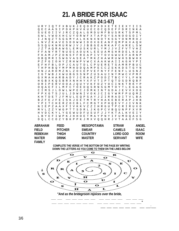U R Y I Q T F X B U K J E Q O O P X D X E T E I E X Y I I S Q E C A A S I P D K P H V K U E C O C Q D E F F D R I N K A S U E O I I V J R C Z Q A L G M D U M F B U S R K T S P M L S W L V W O X H C U Y O R W F X T A P G Y S A N O O G O I Y I J N Q Z T S G G M Y A L K K N X N O T K S G Y O N M R O J L N V Z K A V E S D O W W I D O X G E A N F Q M P K X A Q H S S Q U K N M U R W J V J J B B G E A M K A F C A M E L S W J Z T A Q R A W G L E M U S K U R L Y M J J V Z F V T V H Z F F A N Y R T N U O C A O U K L E E U A M S H R D E L K U A F K A M J P Z D N S F F R E A P I V T O V G W U E F A R N P O B Q M R I S W G V A S E A T M K Z H A W R U W H S B W H X P Z F G I O H Y Z R H W P V W C X A A K W A I I A G H Y P I E F H F B L O P J C A U T D L C P U E R E T S A M R P B U C T H P H B Q Y M P M H D D Q A M P E C C Z S K K D S T G Y N H N J A R D M Z N L Z O C E P V E F N Y F F E N F L U S N Z I G T W B J X W U B G S S N P Z U S A U I N Y M W C V P M F G X M A H A R B A D Y J C R A K Z P O D Z T B C Y Y L F H N H G B X K Q S B R X N H H Y X F V T I P T Q T D S D R Q B F O R I P E R V O O A J Q U Y V K F O Z Y O C I N K T R K Y P O Q A E F I L M F C T O E D Q S R N S G M T O Y T L E G A G C I M S J L O W L W P E C J D M K I N T G D A J E V V X O G F P X G T S J U L J D W N I V O K J C I G Y W M F P U Q M Z J F M U L E Q P S A Y J Z I R R A D I T V L B A B Z F E J F E I S K J E E T M T R Y H A K E B E R A P J H B Y P I T C H E R Z O C B L F C M G T X P H Q E V Y J I V N K N I E P Z A A X F I V K K V Z Z I H R G U T P C R I R U X O M V L Z Z Y W G P T T S D R L J K G P C V B Q U N P F X V M H V D C K Y L Y G E W U D F U S U F J J Y K T A L K V E I Y L B Y E F I W P K J H H O E T M A Y P N Y I F U M D Q A U S D Q L C C O Z Y B K P P K J M X V Q Q H R J V T A A X F S G

| <b>ABRAHAM</b> | <b>FFFD</b>    | <b>MESOPOTAMIA</b> | <b>STRAW</b>    | ANGEL       |
|----------------|----------------|--------------------|-----------------|-------------|
| <b>FIFI</b> D  | <b>PITCHER</b> | <b>SWFAR</b>       | <b>CAMELS</b>   | ISAAC.      |
| <b>REBEKAH</b> | THIGH          | <b>COUNTRY</b>     | <b>LORD GOD</b> | <b>ROOM</b> |
| <b>WATER</b>   | <b>DRINK</b>   | <b>MASTER</b>      | <b>SERVANT</b>  | <b>WIFF</b> |
| <b>FAMILY</b>  |                |                    |                 |             |

**COMPLETE THE VERSE AT THE BOTTOM OF THE PAGE BY WRITING DOWN THE LETTERS AS YOU COME TO THEM ON THE LINES BELOW**